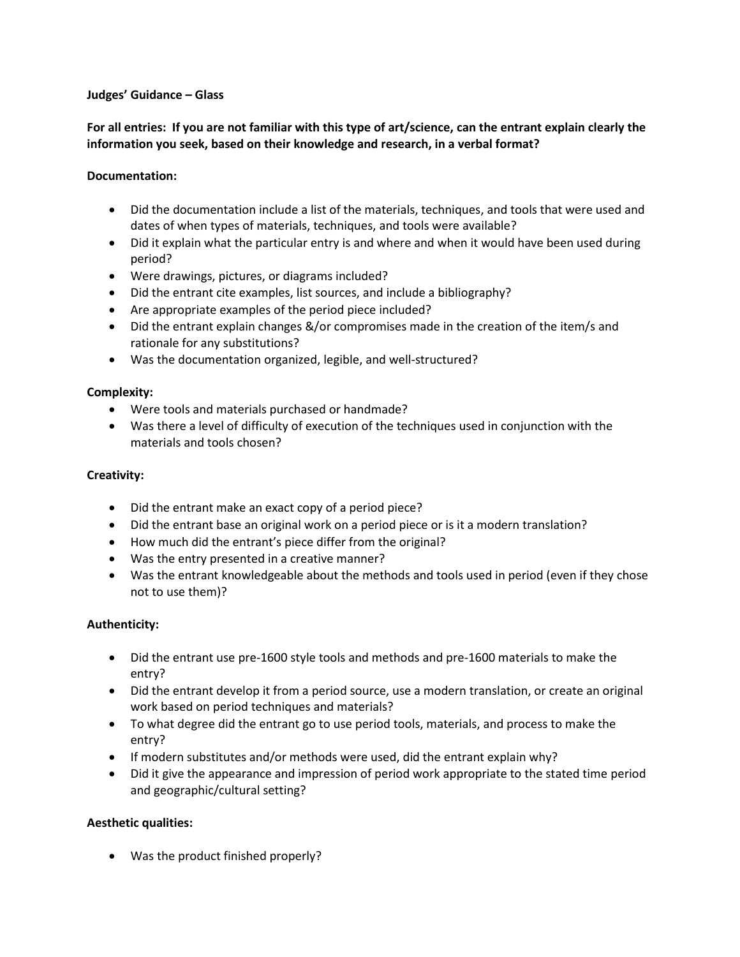### **Judges' Guidance – Glass**

# **For all entries: If you are not familiar with this type of art/science, can the entrant explain clearly the information you seek, based on their knowledge and research, in a verbal format?**

### **Documentation:**

- Did the documentation include a list of the materials, techniques, and tools that were used and dates of when types of materials, techniques, and tools were available?
- Did it explain what the particular entry is and where and when it would have been used during period?
- Were drawings, pictures, or diagrams included?
- Did the entrant cite examples, list sources, and include a bibliography?
- Are appropriate examples of the period piece included?
- Did the entrant explain changes &/or compromises made in the creation of the item/s and rationale for any substitutions?
- Was the documentation organized, legible, and well-structured?

## **Complexity:**

- Were tools and materials purchased or handmade?
- Was there a level of difficulty of execution of the techniques used in conjunction with the materials and tools chosen?

### **Creativity:**

- Did the entrant make an exact copy of a period piece?
- Did the entrant base an original work on a period piece or is it a modern translation?
- How much did the entrant's piece differ from the original?
- Was the entry presented in a creative manner?
- Was the entrant knowledgeable about the methods and tools used in period (even if they chose not to use them)?

### **Authenticity:**

- Did the entrant use pre-1600 style tools and methods and pre-1600 materials to make the entry?
- Did the entrant develop it from a period source, use a modern translation, or create an original work based on period techniques and materials?
- To what degree did the entrant go to use period tools, materials, and process to make the entry?
- If modern substitutes and/or methods were used, did the entrant explain why?
- Did it give the appearance and impression of period work appropriate to the stated time period and geographic/cultural setting?

### **Aesthetic qualities:**

Was the product finished properly?